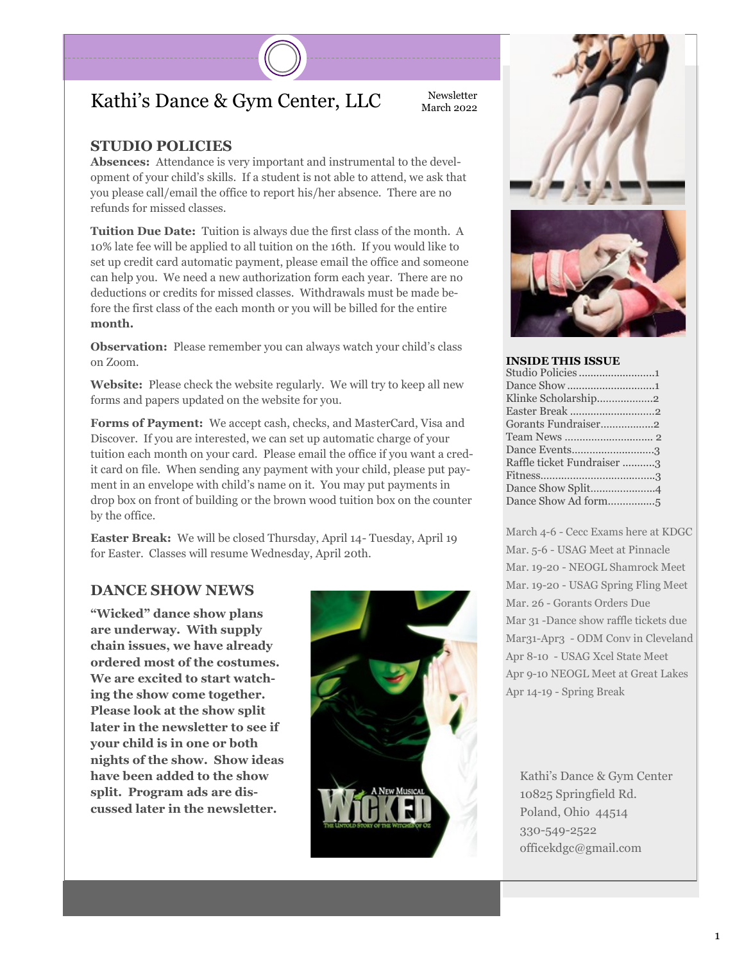### Kathi's Dance & Gym Center, LLC Newsletter

#### **STUDIO POLICIES**

**Absences:** Attendance is very important and instrumental to the development of your child's skills. If a student is not able to attend, we ask that you please call/email the office to report his/her absence. There are no refunds for missed classes.

**Tuition Due Date:** Tuition is always due the first class of the month. A 10% late fee will be applied to all tuition on the 16th. If you would like to set up credit card automatic payment, please email the office and someone can help you. We need a new authorization form each year. There are no deductions or credits for missed classes. Withdrawals must be made before the first class of the each month or you will be billed for the entire **month.**

**Observation:** Please remember you can always watch your child's class on Zoom.

**Website:** Please check the website regularly. We will try to keep all new forms and papers updated on the website for you.

**Forms of Payment:** We accept cash, checks, and MasterCard, Visa and Discover. If you are interested, we can set up automatic charge of your tuition each month on your card. Please email the office if you want a credit card on file. When sending any payment with your child, please put payment in an envelope with child's name on it. You may put payments in drop box on front of building or the brown wood tuition box on the counter by the office.

**Easter Break:** We will be closed Thursday, April 14- Tuesday, April 19 for Easter. Classes will resume Wednesday, April 20th.

#### **DANCE SHOW NEWS**

**"Wicked" dance show plans are underway. With supply chain issues, we have already ordered most of the costumes. We are excited to start watching the show come together. Please look at the show split later in the newsletter to see if your child is in one or both nights of the show. Show ideas have been added to the show split. Program ads are discussed later in the newsletter.** 





#### **INSIDE THIS ISSUE**

March 4-6 - Cecc Exams here at KDGC Mar. 5-6 - USAG Meet at Pinnacle Mar. 19-20 - NEOGL Shamrock Meet Mar. 19-20 - USAG Spring Fling Meet Mar. 26 - Gorants Orders Due Mar 31 -Dance show raffle tickets due Mar31-Apr3 - ODM Conv in Cleveland Apr 8-10 - USAG Xcel State Meet Apr 9-10 NEOGL Meet at Great Lakes Apr 14-19 - Spring Break

Kathi's Dance & Gym Center 10825 Springfield Rd. Poland, Ohio 44514 330-549-2522 officekdgc@gmail.com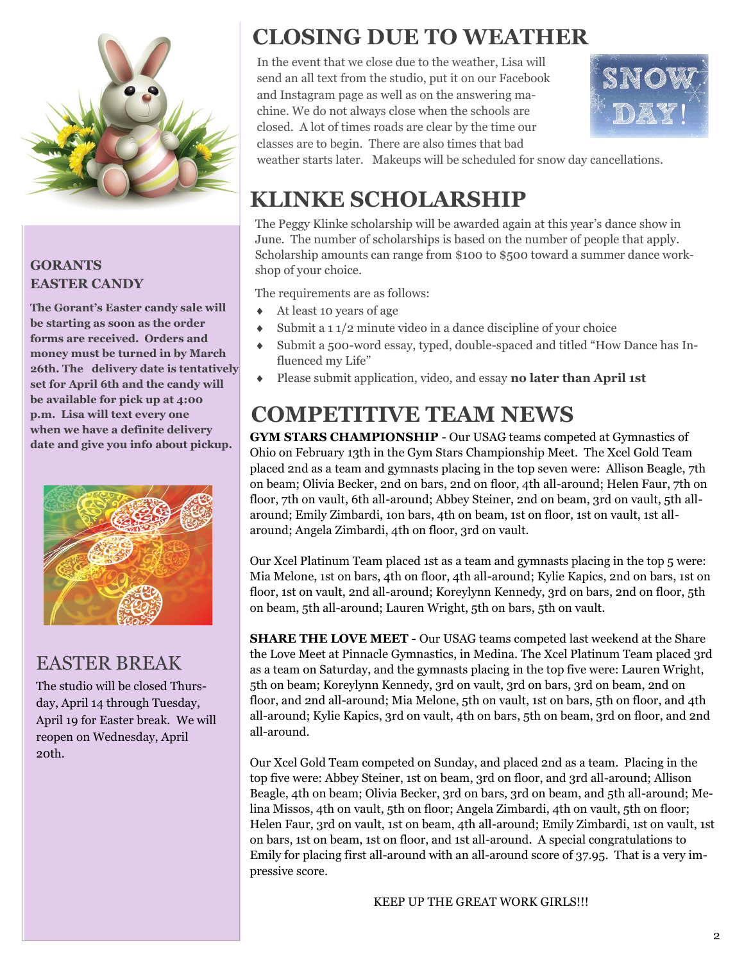

#### **GORANTS EASTER CANDY**

**The Gorant's Easter candy sale will be starting as soon as the order forms are received. Orders and money must be turned in by March 26th. The delivery date is tentatively set for April 6th and the candy will be available for pick up at 4:00 p.m. Lisa will text every one when we have a definite delivery date and give you info about pickup.**



#### EASTER BREAK

The studio will be closed Thursday, April 14 through Tuesday, April 19 for Easter break. We will reopen on Wednesday, April 20th.

# **CLOSING DUE TO WEATHER**

In the event that we close due to the weather, Lisa will send an all text from the studio, put it on our Facebook and Instagram page as well as on the answering machine. We do not always close when the schools are closed. A lot of times roads are clear by the time our classes are to begin. There are also times that bad



weather starts later. Makeups will be scheduled for snow day cancellations.

# **KLINKE SCHOLARSHIP**

The Peggy Klinke scholarship will be awarded again at this year's dance show in June. The number of scholarships is based on the number of people that apply. Scholarship amounts can range from \$100 to \$500 toward a summer dance workshop of your choice.

The requirements are as follows:

- At least 10 years of age
- $\bullet$  Submit a 1 1/2 minute video in a dance discipline of your choice
- Submit a 500-word essay, typed, double-spaced and titled "How Dance has Influenced my Life"
- Please submit application, video, and essay **no later than April 1st**

# **COMPETITIVE TEAM NEWS**

**GYM STARS CHAMPIONSHIP** - Our USAG teams competed at Gymnastics of Ohio on February 13th in the Gym Stars Championship Meet. The Xcel Gold Team placed 2nd as a team and gymnasts placing in the top seven were: Allison Beagle, 7th on beam; Olivia Becker, 2nd on bars, 2nd on floor, 4th all-around; Helen Faur, 7th on floor, 7th on vault, 6th all-around; Abbey Steiner, 2nd on beam, 3rd on vault, 5th allaround; Emily Zimbardi, 1on bars, 4th on beam, 1st on floor, 1st on vault, 1st allaround; Angela Zimbardi, 4th on floor, 3rd on vault.

Our Xcel Platinum Team placed 1st as a team and gymnasts placing in the top 5 were: Mia Melone, 1st on bars, 4th on floor, 4th all-around; Kylie Kapics, 2nd on bars, 1st on floor, 1st on vault, 2nd all-around; Koreylynn Kennedy, 3rd on bars, 2nd on floor, 5th on beam, 5th all-around; Lauren Wright, 5th on bars, 5th on vault.

**SHARE THE LOVE MEET -** Our USAG teams competed last weekend at the Share the Love Meet at Pinnacle Gymnastics, in Medina. The Xcel Platinum Team placed 3rd as a team on Saturday, and the gymnasts placing in the top five were: Lauren Wright, 5th on beam; Koreylynn Kennedy, 3rd on vault, 3rd on bars, 3rd on beam, 2nd on floor, and 2nd all-around; Mia Melone, 5th on vault, 1st on bars, 5th on floor, and 4th all-around; Kylie Kapics, 3rd on vault, 4th on bars, 5th on beam, 3rd on floor, and 2nd all-around.

Our Xcel Gold Team competed on Sunday, and placed 2nd as a team. Placing in the top five were: Abbey Steiner, 1st on beam, 3rd on floor, and 3rd all-around; Allison Beagle, 4th on beam; Olivia Becker, 3rd on bars, 3rd on beam, and 5th all-around; Melina Missos, 4th on vault, 5th on floor; Angela Zimbardi, 4th on vault, 5th on floor; Helen Faur, 3rd on vault, 1st on beam, 4th all-around; Emily Zimbardi, 1st on vault, 1st on bars, 1st on beam, 1st on floor, and 1st all-around. A special congratulations to Emily for placing first all-around with an all-around score of 37.95. That is a very impressive score.

KEEP UP THE GREAT WORK GIRLS!!!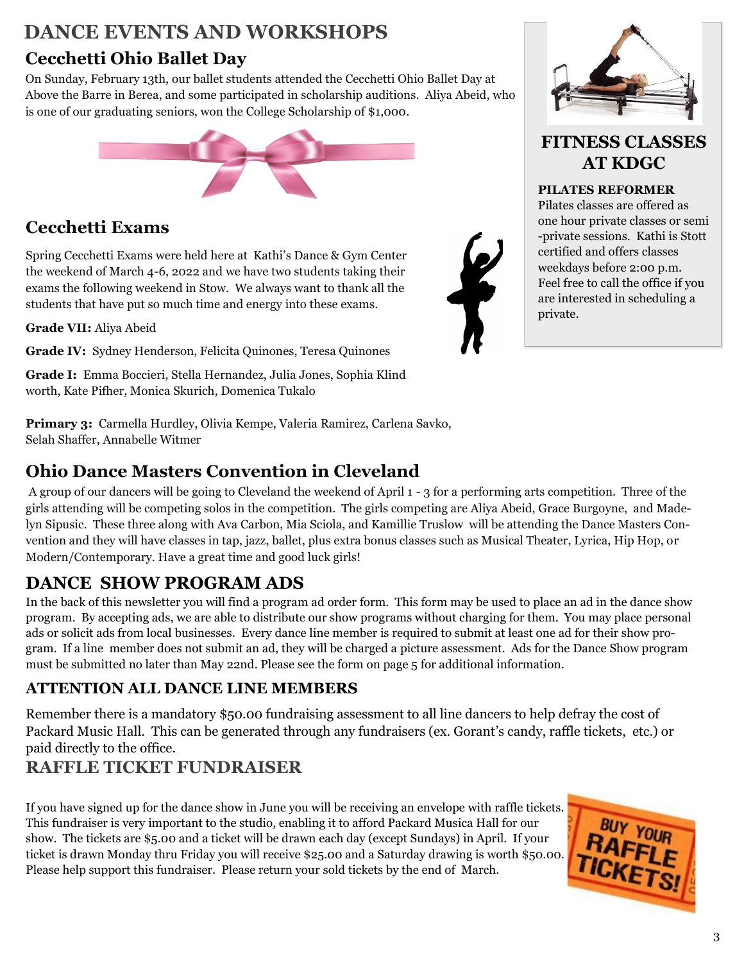### **DANCE EVENTS AND WORKSHOPS**

## **Cecchetti Ohio Ballet Day**

On Sunday, February 13th, our ballet students attended the Cecchetti Ohio Ballet Day at Above the Barre in Berea, and some participated in scholarship auditions. Aliya Abeid, who is one of our graduating seniors, won the College Scholarship of \$1,000.



## **Cecchetti Exams**

Spring Cecchetti Exams were held here at Kathi's Dance & Gym Center the weekend of March 4-6, 2022 and we have two students taking their exams the following weekend in Stow. We always want to thank all the students that have put so much time and energy into these exams.

**Grade VII:** Aliya Abeid

**Grade IV:** Sydney Henderson, Felicita Quinones, Teresa Quinones

**Grade I:** Emma Boccieri, Stella Hernandez, Julia Jones, Sophia Klind worth, Kate Pifher, Monica Skurich, Domenica Tukalo

**Primary 3:** Carmella Hurdley, Olivia Kempe, Valeria Ramirez, Carlena Savko, Selah Shaffer, Annabelle Witmer

#### **Ohio Dance Masters Convention in Cleveland**

A group of our dancers will be going to Cleveland the weekend of April 1 - 3 for a performing arts competition. Three of the girls attending will be competing solos in the competition. The girls competing are Aliya Abeid, Grace Burgoyne, and Madelyn Sipusic. These three along with Ava Carbon, Mia Sciola, and Kamillie Truslow will be attending the Dance Masters Convention and they will have classes in tap, jazz, ballet, plus extra bonus classes such as Musical Theater, Lyrica, Hip Hop, or Modern/Contemporary. Have a great time and good luck girls!

## **DANCE SHOW PROGRAM ADS**

In the back of this newsletter you will find a program ad order form. This form may be used to place an ad in the dance show program. By accepting ads, we are able to distribute our show programs without charging for them. You may place personal ads or solicit ads from local businesses. Every dance line member is required to submit at least one ad for their show program. If a line member does not submit an ad, they will be charged a picture assessment. Ads for the Dance Show program must be submitted no later than May 22nd. Please see the form on page 5 for additional information.

#### **ATTENTION ALL DANCE LINE MEMBERS**

Remember there is a mandatory \$50.00 fundraising assessment to all line dancers to help defray the cost of Packard Music Hall. This can be generated through any fundraisers (ex. Gorant's candy, raffle tickets, etc.) or paid directly to the office.

## **RAFFLE TICKET FUNDRAISER**

If you have signed up for the dance show in June you will be receiving an envelope with raffle tickets. This fundraiser is very important to the studio, enabling it to afford Packard Musica Hall for our show. The tickets are \$5.00 and a ticket will be drawn each day (except Sundays) in April. If your ticket is drawn Monday thru Friday you will receive \$25.00 and a Saturday drawing is worth \$50.00. Please help support this fundraiser. Please return your sold tickets by the end of March.





#### **FITNESS CLASSES AT KDGC**

#### **PILATES REFORMER**

Pilates classes are offered as one hour private classes or semi -private sessions. Kathi is Stott certified and offers classes weekdays before 2:00 p.m. Feel free to call the office if you are interested in scheduling a private.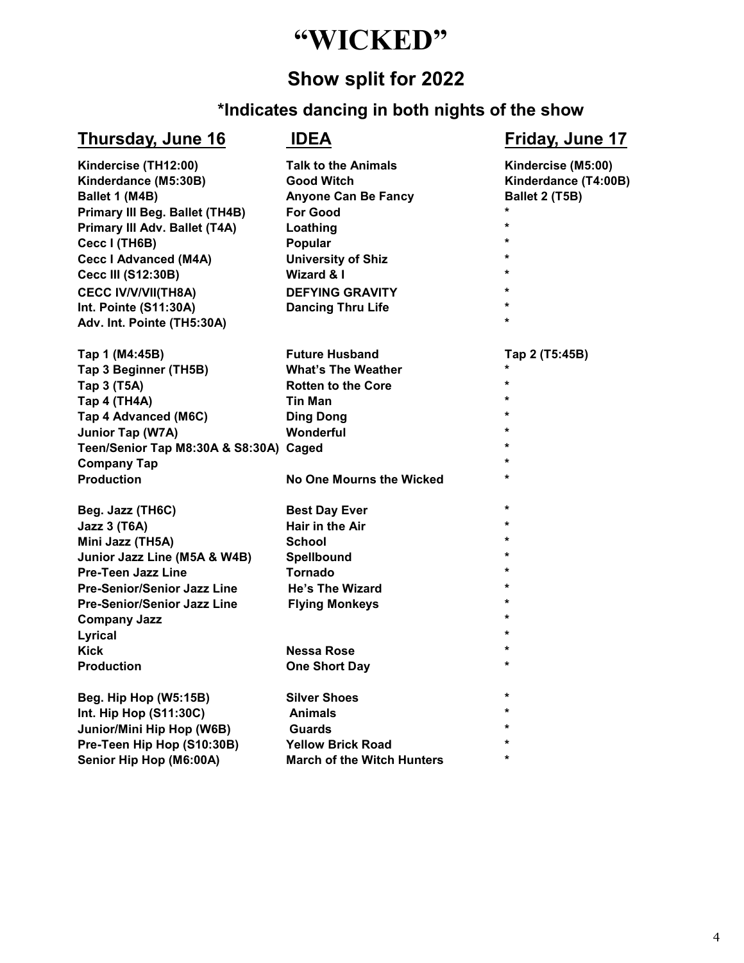# **"WICKED"**

## **Show split for 2022**

#### **\*Indicates dancing in both nights of the show**

#### **Thursday, June 16 IDEA Friday, June 17**

| Kindercise (TH12:00)                   | <b>Talk to the Animals</b>        | Kindercise (M5:00)   |
|----------------------------------------|-----------------------------------|----------------------|
| Kinderdance (M5:30B)                   | <b>Good Witch</b>                 | Kinderdance (T4:00B) |
| Ballet 1 (M4B)                         | <b>Anyone Can Be Fancy</b>        | Ballet 2 (T5B)       |
| <b>Primary III Beg. Ballet (TH4B)</b>  | <b>For Good</b>                   | $\star$              |
| Primary III Adv. Ballet (T4A)          | Loathing                          | $\star$              |
| Cecc I (TH6B)                          | Popular                           | $\star$              |
| <b>Cecc I Advanced (M4A)</b>           | <b>University of Shiz</b>         | $\star$              |
| <b>Cecc III (S12:30B)</b>              | <b>Wizard &amp; I</b>             | $\star$              |
| <b>CECC IV/V/VII(TH8A)</b>             | <b>DEFYING GRAVITY</b>            | $\star$              |
| Int. Pointe (S11:30A)                  | <b>Dancing Thru Life</b>          | $\star$              |
| Adv. Int. Pointe (TH5:30A)             |                                   | $\star$              |
| Tap 1 (M4:45B)                         | <b>Future Husband</b>             | Tap 2 (T5:45B)       |
| Tap 3 Beginner (TH5B)                  | <b>What's The Weather</b>         |                      |
| Tap 3 (T5A)                            | <b>Rotten to the Core</b>         | $\star$              |
| Tap 4 (TH4A)                           | <b>Tin Man</b>                    | $\star$              |
| Tap 4 Advanced (M6C)                   | <b>Ding Dong</b>                  | $\star$              |
| Junior Tap (W7A)                       | Wonderful                         | $\star$              |
| Teen/Senior Tap M8:30A & S8:30A) Caged |                                   | $\star$              |
| <b>Company Tap</b>                     |                                   | $\star$              |
| <b>Production</b>                      | No One Mourns the Wicked          | $\star$              |
| Beg. Jazz (TH6C)                       | <b>Best Day Ever</b>              | $\star$              |
| <b>Jazz 3 (T6A)</b>                    | Hair in the Air                   | $\star$              |
| Mini Jazz (TH5A)                       | <b>School</b>                     | $\star$              |
| Junior Jazz Line (M5A & W4B)           | Spellbound                        | $\star$              |
| <b>Pre-Teen Jazz Line</b>              | <b>Tornado</b>                    | $\star$              |
| Pre-Senior/Senior Jazz Line            | He's The Wizard                   | $\star$              |
| Pre-Senior/Senior Jazz Line            | <b>Flying Monkeys</b>             | $\star$              |
| <b>Company Jazz</b>                    |                                   | $\star$              |
| Lyrical                                |                                   | $\star$              |
| <b>Kick</b>                            | <b>Nessa Rose</b>                 | $\star$              |
| <b>Production</b>                      | <b>One Short Day</b>              | $\star$              |
| Beg. Hip Hop (W5:15B)                  | <b>Silver Shoes</b>               | $\star$              |
| Int. Hip Hop (S11:30C)                 | <b>Animals</b>                    | $\star$              |
| Junior/Mini Hip Hop (W6B)              | Guards                            | $\star$              |
| Pre-Teen Hip Hop (S10:30B)             | <b>Yellow Brick Road</b>          | $\star$              |
| Senior Hip Hop (M6:00A)                | <b>March of the Witch Hunters</b> | *                    |